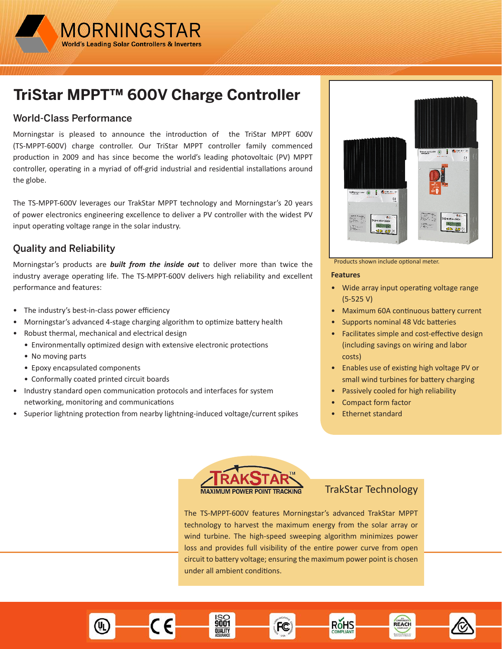

# **TriStar MPPT™ 600V Charge Controller**

### World-Class Performance

Morningstar is pleased to announce the introduction of the TriStar MPPT 600V (TS-MPPT-600V) charge controller. Our TriStar MPPT controller family commenced production in 2009 and has since become the world's leading photovoltaic (PV) MPPT controller, operating in a myriad of off-grid industrial and residential installations around the globe.

The TS-MPPT-600V leverages our TrakStar MPPT technology and Morningstar's 20 years of power electronics engineering excellence to deliver a PV controller with the widest PV input operating voltage range in the solar industry.

# Quality and Reliability

Morningstar's products are *built from the inside out* to deliver more than twice the industry average operating life. The TS-MPPT-600V delivers high reliability and excellent performance and features:

- The industry's best-in-class power efficiency
- Morningstar's advanced 4-stage charging algorithm to optimize battery health
- Robust thermal, mechanical and electrical design
	- Environmentally optimized design with extensive electronic protections
	- No moving parts
	- Epoxy encapsulated components
	- Conformally coated printed circuit boards
- Industry standard open communication protocols and interfaces for system networking, monitoring and communications
- Superior lightning protection from nearby lightning-induced voltage/current spikes



#### Products shown include optional meter.

#### **Features**

- Wide array input operating voltage range (5-525 V)
- Maximum 60A continuous battery current
- Supports nominal 48 Vdc batteries
- Facilitates simple and cost-effective design (including savings on wiring and labor costs)
- Enables use of existing high voltage PV or small wind turbines for battery charging

REACH

- Passively cooled for high reliability
- Compact form factor
- Ethernet standard



9001

**QUALITY** 

#### TrakStar Technology

RŏHS

The TS-MPPT-600V features Morningstar's advanced TrakStar MPPT technology to harvest the maximum energy from the solar array or wind turbine. The high-speed sweeping algorithm minimizes power loss and provides full visibility of the entire power curve from open circuit to battery voltage; ensuring the maximum power point is chosen under all ambient conditions.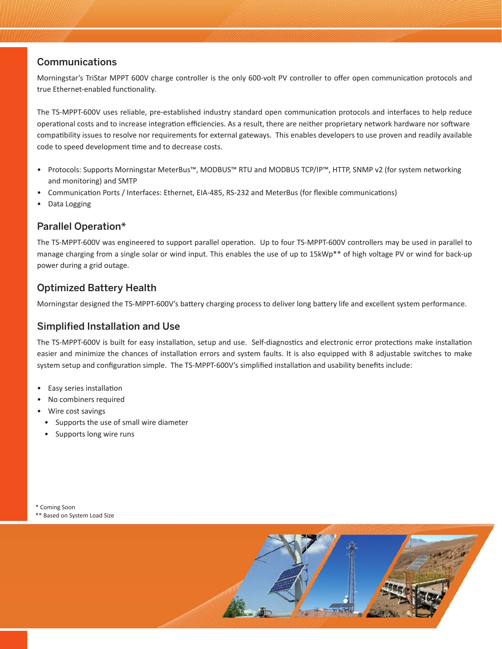### Communications

Morningstar's TriStar MPPT 600V charge controller is the only 600-volt PV controller to offer open communication protocols and true Ethernet-enabled functionality.

The TS-MPPT-600V uses reliable, pre-established industry standard open communication protocols and interfaces to help reduce operational costs and to increase integration efficiencies. As a result, there are neither proprietary network hardware nor software compatibility issues to resolve nor requirements for external gateways. This enables developers to use proven and readily available code to speed development time and to decrease costs.

- Protocols: Supports Morningstar MeterBus™, MODBUS™ RTU and MODBUS TCP/IP™, HTTP, SNMP v2 (for system networking and monitoring) and SMTP
- Communication Ports / Interfaces: Ethernet, EIA-485, RS-232 and MeterBus (for flexible communications)
- Data Logging

### Parallel Operation\*

The TS-MPPT-600V was engineered to support parallel operation. Up to four TS-MPPT-600V controllers may be used in parallel to manage charging from a single solar or wind input. This enables the use of up to 15kWp\*\* of high voltage PV or wind for back-up power during a grid outage.

### Optimized Battery Health

Morningstar designed the TS-MPPT-600V's battery charging process to deliver long battery life and excellent system performance.

### Simplified Installation and Use

The TS-MPPT-600V is built for easy installation, setup and use. Self-diagnostics and electronic error protections make installation easier and minimize the chances of installation errors and system faults. It is also equipped with 8 adjustable switches to make system setup and configuration simple. The TS-MPPT-600V's simplified installation and usability benefits include:

- Easy series installation
- No combiners required
- Wire cost savings
- Supports the use of small wire diameter
- Supports long wire runs

\* Coming Soon

\*\* Based on System Load Size

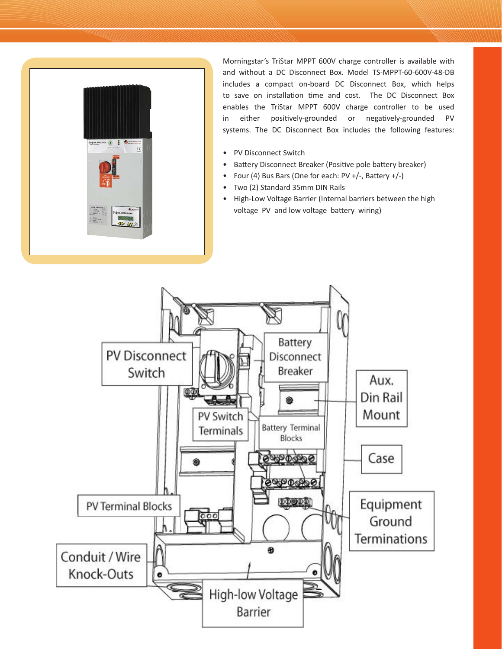

Morningstar's TriStar MPPT 600V charge controller is available with and without a DC Disconnect Box. Model TS-MPPT-60-600V-48-DB includes a compact on-board DC Disconnect Box, which helps to save on installation time and cost. The DC Disconnect Box enables the TriStar MPPT 600V charge controller to be used in either positively-grounded or negatively-grounded PV systems. The DC Disconnect Box includes the following features:

- PV Disconnect Switch
- Battery Disconnect Breaker (Positive pole battery breaker)
- Four (4) Bus Bars (One for each: PV +/-, Battery +/-)
- Two (2) Standard 35mm DIN Rails
- High-Low Voltage Barrier (Internal barriers between the high voltage PV and low voltage battery wiring)

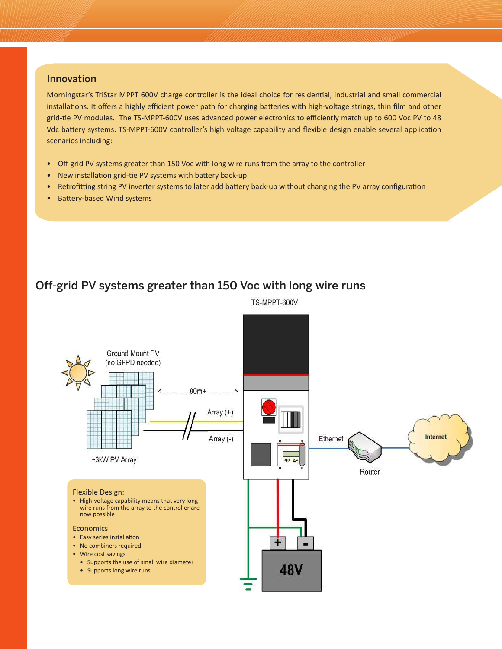#### Innovation

Morningstar's TriStar MPPT 600V charge controller is the ideal choice for residential, industrial and small commercial installations. It offers a highly efficient power path for charging batteries with high-voltage strings, thin film and other grid-tie PV modules. The TS-MPPT-600V uses advanced power electronics to efficiently match up to 600 Voc PV to 48 Vdc battery systems. TS-MPPT-600V controller's high voltage capability and flexible design enable several application scenarios including:

- Off-grid PV systems greater than 150 Voc with long wire runs from the array to the controller
- New installation grid-tie PV systems with battery back-up
- Retrofitting string PV inverter systems to later add battery back-up without changing the PV array configuration
- Battery-based Wind systems

# Off-grid PV systems greater than 150 Voc with long wire runs



TS-MPPT-600V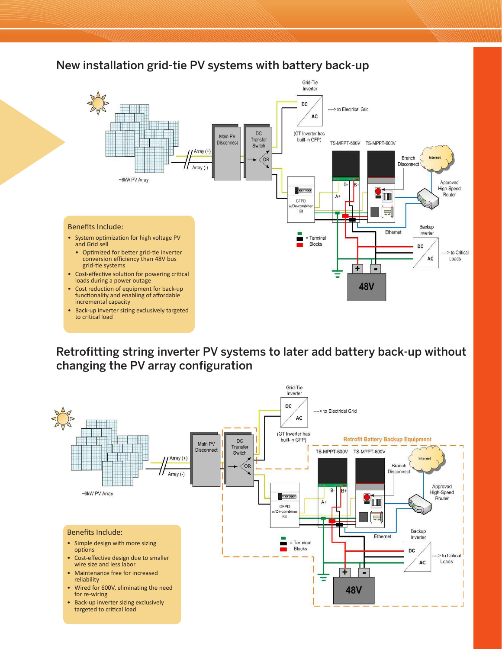# New installation grid-tie PV systems with battery back-up



Retrofitting string inverter PV systems to later add battery back-up without changing the PV array configuration

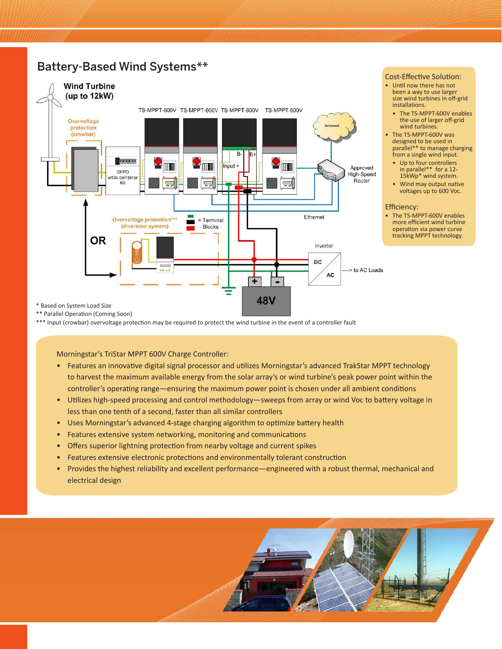# Battery-Based Wind Systems\*\*



#### Cost-Effective Solution:

- Until now there has not been a way to use larger size wind turbines in off-grid installations.
	- The TS-MPPT-600V enables the use of larger off-grid wind turbines.
- The TS-MPPT-600V was designed to be used in parallel\*\* to manage charging from a single wind input.
	- Up to four controllers in parallel\*\* for a 12- 15kWp\* wind system.
	- Wind may output native voltages up to 600 Voc.

#### Efficiency:

• The TS-MPPT-600V enables more efficient wind turbine operation via power curve tracking MPPT technology.

\*\*\* Input (crowbar) overvoltage protection may be required to protect the wind turbine in the event of a controller fault

Morningstar's TriStar MPPT 600V Charge Controller:

- Features an innovative digital signal processor and utilizes Morningstar's advanced TrakStar MPPT technology to harvest the maximum available energy from the solar array's or wind turbine's peak power point within the controller's operating range—ensuring the maximum power point is chosen under all ambient conditions
- Utilizes high-speed processing and control methodology—sweeps from array or wind Voc to battery voltage in less than one tenth of a second, faster than all similar controllers
- Uses Morningstar's advanced 4-stage charging algorithm to optimize battery health
- Features extensive system networking, monitoring and communications
- Offers superior lightning protection from nearby voltage and current spikes
- Features extensive electronic protections and environmentally tolerant construction
- Provides the highest reliability and excellent performance—engineered with a robust thermal, mechanical and electrical design

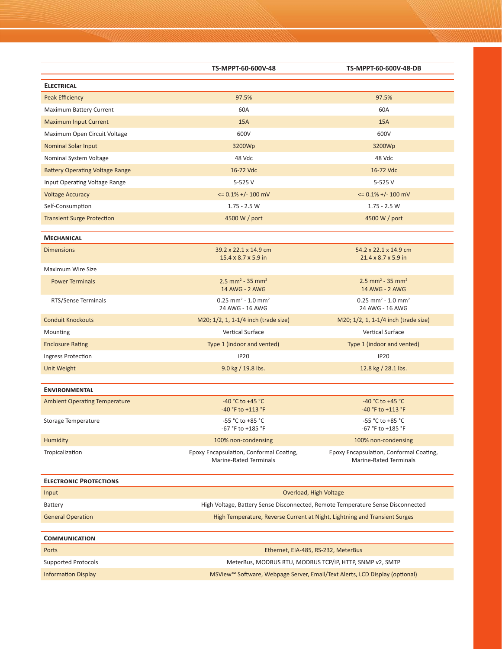|                                        | TS-MPPT-60-600V-48                                                              | TS-MPPT-60-600V-48-DB                                                    |
|----------------------------------------|---------------------------------------------------------------------------------|--------------------------------------------------------------------------|
| <b>ELECTRICAL</b>                      |                                                                                 |                                                                          |
| Peak Efficiency                        | 97.5%                                                                           | 97.5%                                                                    |
| Maximum Battery Current                | 60A                                                                             | 60A                                                                      |
| <b>Maximum Input Current</b>           | 15A                                                                             | <b>15A</b>                                                               |
| Maximum Open Circuit Voltage           | 600V                                                                            | 600V                                                                     |
| <b>Nominal Solar Input</b>             | 3200Wp                                                                          | 3200Wp                                                                   |
| Nominal System Voltage                 | 48 Vdc                                                                          | 48 Vdc                                                                   |
| <b>Battery Operating Voltage Range</b> | 16-72 Vdc                                                                       | 16-72 Vdc                                                                |
| Input Operating Voltage Range          | 5-525 V                                                                         | 5-525 V                                                                  |
| <b>Voltage Accuracy</b>                | $\leq$ 0.1% +/- 100 mV                                                          | $\leq$ 0.1% +/- 100 mV                                                   |
| Self-Consumption                       | $1.75 - 2.5 W$                                                                  | $1.75 - 2.5 W$                                                           |
| <b>Transient Surge Protection</b>      | 4500 W / port                                                                   | 4500 W / port                                                            |
| <b>MECHANICAL</b>                      |                                                                                 |                                                                          |
| <b>Dimensions</b>                      | 39.2 x 22.1 x 14.9 cm<br>15.4 x 8.7 x 5.9 in                                    | 54.2 x 22.1 x 14.9 cm<br>$21.4 \times 8.7 \times 5.9$ in                 |
| Maximum Wire Size                      |                                                                                 |                                                                          |
| <b>Power Terminals</b>                 | $2.5$ mm <sup>2</sup> - 35 mm <sup>2</sup><br>14 AWG - 2 AWG                    | 2.5 mm <sup>2</sup> - 35 mm <sup>2</sup><br>14 AWG - 2 AWG               |
| RTS/Sense Terminals                    | $0.25$ mm <sup>2</sup> - 1.0 mm <sup>2</sup><br>24 AWG - 16 AWG                 | $0.25$ mm <sup>2</sup> - 1.0 mm <sup>2</sup><br>24 AWG - 16 AWG          |
| <b>Conduit Knockouts</b>               | M20; 1/2, 1, 1-1/4 inch (trade size)                                            | M20; 1/2, 1, 1-1/4 inch (trade size)                                     |
| Mounting                               | Vertical Surface                                                                | Vertical Surface                                                         |
| <b>Enclosure Rating</b>                | Type 1 (indoor and vented)                                                      | Type 1 (indoor and vented)                                               |
| Ingress Protection                     | <b>IP20</b>                                                                     | <b>IP20</b>                                                              |
| Unit Weight                            | 9.0 kg / 19.8 lbs.                                                              | 12.8 kg / 28.1 lbs.                                                      |
| <b>ENVIRONMENTAL</b>                   |                                                                                 |                                                                          |
| <b>Ambient Operating Temperature</b>   | -40 °C to +45 °C<br>-40 °F to +113 °F                                           | $-40 °C$ to $+45 °C$<br>-40 °F to +113 °F                                |
| Storage Temperature                    | -55 °C to +85 °C<br>-67 °F to +185 °F                                           | -55 °C to +85 °C<br>-67 °F to +185 °F                                    |
| <b>Humidity</b>                        | 100% non-condensing                                                             | 100% non-condensing                                                      |
| Tropicalization                        | Epoxy Encapsulation, Conformal Coating,<br><b>Marine-Rated Terminals</b>        | Epoxy Encapsulation, Conformal Coating,<br><b>Marine-Rated Terminals</b> |
| <b>ELECTRONIC PROTECTIONS</b>          |                                                                                 |                                                                          |
| Input                                  | Overload, High Voltage                                                          |                                                                          |
| <b>Battery</b>                         | High Voltage, Battery Sense Disconnected, Remote Temperature Sense Disconnected |                                                                          |
| <b>General Operation</b>               | High Temperature, Reverse Current at Night, Lightning and Transient Surges      |                                                                          |
| <b>COMMUNICATION</b>                   |                                                                                 |                                                                          |
| Ports                                  | Ethernet, EIA-485, RS-232, MeterBus                                             |                                                                          |
|                                        | MeterBus, MODBUS RTU, MODBUS TCP/IP, HTTP, SNMP v2, SMTP                        |                                                                          |
| <b>Supported Protocols</b>             |                                                                                 |                                                                          |